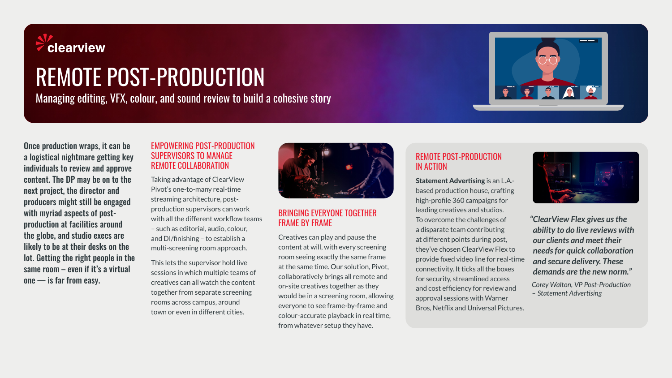

# REMOTE POST-PRODUCTION

Managing editing, VFX, colour, and sound review to build a cohesive story



Once production wraps, it can be a logistical nightmare getting key individuals to review and approve content. The DP may be on to the next project, the director and producers might still be engaged with myriad aspects of postproduction at facilities around the globe, and studio execs are likely to be at their desks on the lot. Getting the right people in the same room – even if it's a virtual  $one$   $-$  is far from easy.

#### EMPOWERING POST-PRODUCTION SUPERVISORS TO MANAGE REMOTE COLLABORATION

Taking advantage of ClearView Pivot's one-to-many real-time streaming architecture, postproduction supervisors can work with all the different workflow teams – such as editorial, audio, colour, and DI/finishing – to establish a multi-screening room approach.

This lets the supervisor hold live sessions in which multiple teams of creatives can all watch the content together from separate screening rooms across campus, around town or even in different cities.



# BRINGING EVERYONE TOGETHER FRAME BY FRAME

Creatives can play and pause the content at will, with every screening room seeing exactly the same frame at the same time. Our solution, Pivot, collaboratively brings all remote and on-site creatives together as they would be in a screening room, allowing everyone to see frame-by-frame and colour-accurate playback in real time, from whatever setup they have.

# REMOTE POST-PRODUCTION IN ACTION

Statement Advertising is an L.A. based production house, crafting high-profile 360 campaigns for leading creatives and studios. To overcome the challenges of a disparate team contributing at different points during post, they've chosen ClearView Flex to provide fixed video line for real-time connectivity. It ticks all the boxes for security, streamlined access and cost efficiency for review and approval sessions with Warner Bros, Netflix and Universal Pictures.



*"ClearView Flex gives us the ability to do live reviews with our clients and meet their needs for quick collaboration and secure delivery. These demands are the new norm."*

*Corey Walton, VP Post-Production – Statement Advertising*